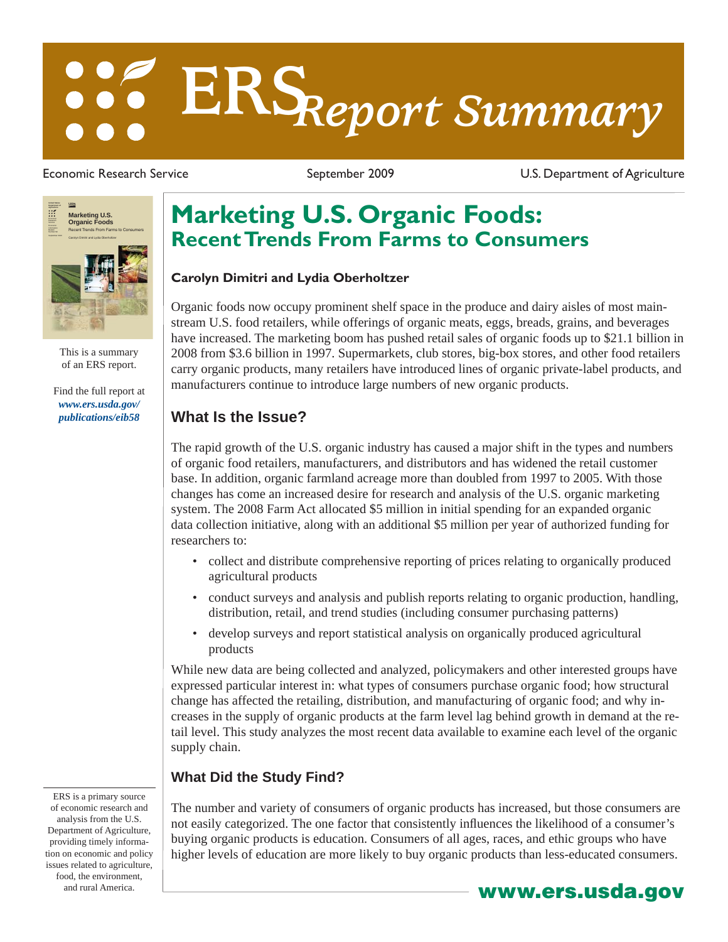# **ERS***Report Summary*

Economic Research Service The September 2009 Controllers C.S. Department of Agriculture



This is a summary of an ERS report.

[Find the full report at](http://www.ers.usda.gov/publications/eib58)  *www.ers.usda.gov/ publications/eib58*

# **Marketing U.S. Organic Foods: Recent Trends From Farms to Consumers**

### **Carolyn Dimitri and Lydia Oberholtzer**

Organic foods now occupy prominent shelf space in the produce and dairy aisles of most mainstream U.S. food retailers, while offerings of organic meats, eggs, breads, grains, and beverages have increased. The marketing boom has pushed retail sales of organic foods up to \$21.1 billion in 2008 from \$3.6 billion in 1997. Supermarkets, club stores, big-box stores, and other food retailers carry organic products, many retailers have introduced lines of organic private-label products, and manufacturers continue to introduce large numbers of new organic products.

### **What Is the Issue?**

The rapid growth of the U.S. organic industry has caused a major shift in the types and numbers of organic food retailers, manufacturers, and distributors and has widened the retail customer base. In addition, organic farmland acreage more than doubled from 1997 to 2005. With those changes has come an increased desire for research and analysis of the U.S. organic marketing system. The 2008 Farm Act allocated \$5 million in initial spending for an expanded organic data collection initiative, along with an additional \$5 million per year of authorized funding for researchers to:

- collect and distribute comprehensive reporting of prices relating to organically produced agricultural products
- conduct surveys and analysis and publish reports relating to organic production, handling, distribution, retail, and trend studies (including consumer purchasing patterns)
- develop surveys and report statistical analysis on organically produced agricultural products

While new data are being collected and analyzed, policymakers and other interested groups have expressed particular interest in: what types of consumers purchase organic food; how structural change has affected the retailing, distribution, and manufacturing of organic food; and why increases in the supply of organic products at the farm level lag behind growth in demand at the retail level. This study analyzes the most recent data available to examine each level of the organic supply chain.

### **What Did the Study Find?**

The number and variety of consumers of organic products has increased, but those consumers are not easily categorized. The one factor that consistently influences the likelihood of a consumer's buying organic products is education. Consumers of all ages, races, and ethic groups who have higher levels of education are more likely to buy organic products than less-educated consumers.

ERS is a primary source of economic research and analysis from the U.S. Department of Agriculture, providing timely information on economic and policy issues related to agriculture, food, the environment, and rural America. **www.ers.usda.gov**